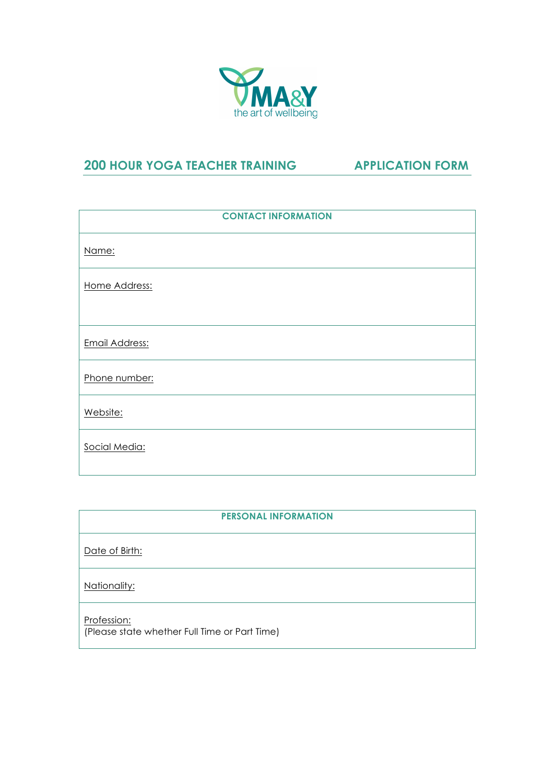

## **200 HOUR YOGA TEACHER TRAINING APPLICATION FORM**

| <b>CONTACT INFORMATION</b> |  |  |
|----------------------------|--|--|
| Name:                      |  |  |
| Home Address:              |  |  |
| <b>Email Address:</b>      |  |  |
| Phone number:              |  |  |
| Website:                   |  |  |
| Social Media:              |  |  |

| <b>PERSONAL INFORMATION</b>                                  |  |  |
|--------------------------------------------------------------|--|--|
| Date of Birth:                                               |  |  |
| Nationality:                                                 |  |  |
| Profession:<br>(Please state whether Full Time or Part Time) |  |  |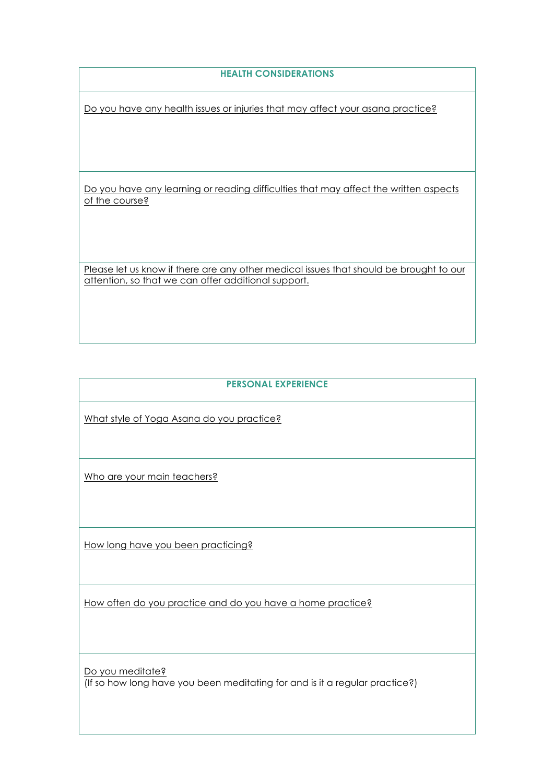## **HEALTH CONSIDERATIONS**

Do you have any health issues or injuries that may affect your asana practice?

Do you have any learning or reading difficulties that may affect the written aspects of the course?

Please let us know if there are any other medical issues that should be brought to our attention, so that we can offer additional support.

## **PERSONAL EXPERIENCE**

What style of Yoga Asana do you practice?

Who are your main teachers?

How long have you been practicing?

How often do you practice and do you have a home practice?

Do you meditate? (If so how long have you been meditating for and is it a regular practice?)